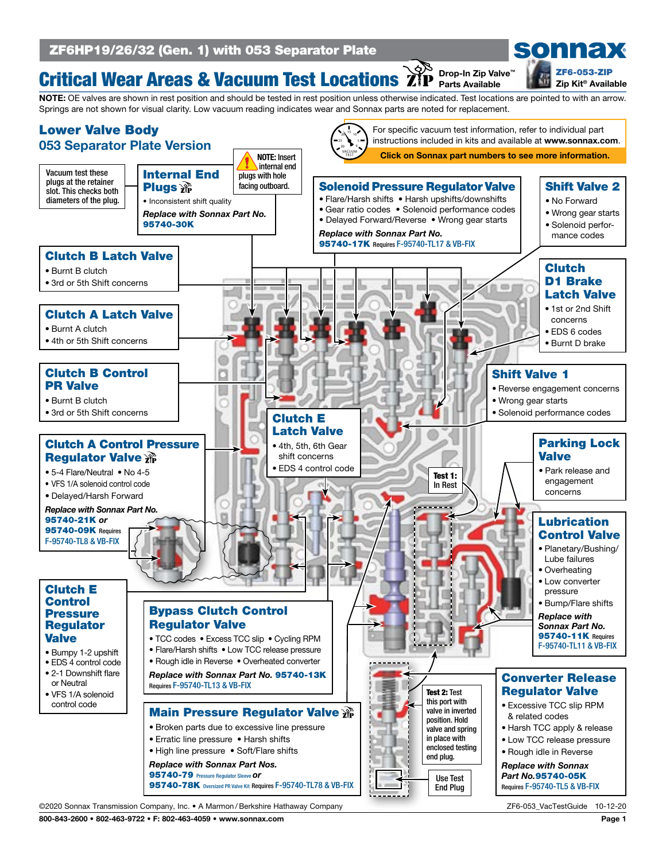

#### Critical Wear Areas & Vacuum Test Locations Drop-In Zip Valve™ Parts Available

NOTE: OE valves are shown in rest position and should be tested in rest position unless otherwise indicated. Test locations are pointed to with an arrow. Springs are not shown for visual clarity. Low vacuum reading indicates wear and Sonnax parts are noted for replacement.

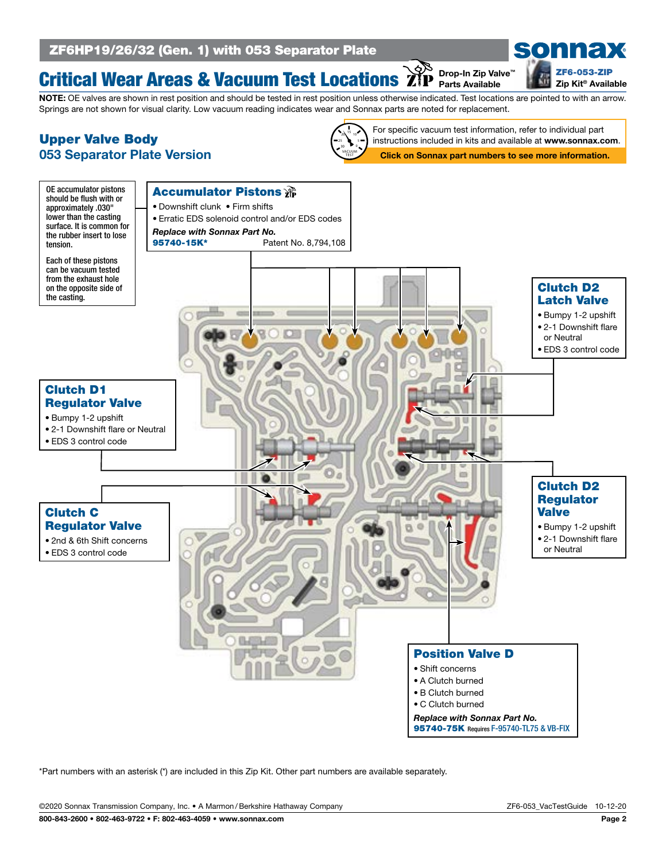### Critical Wear Areas & Vacuum Test Locations Drop-In Zip Valve™ Parts Available

sonnax [ZF6-053-ZIP](https://www.sonnax.com/parts/4379-zip-kit) Zip Kit® Available

### NOTE: OE valves are shown in rest position and should be tested in rest position unless otherwise indicated. Test locations are pointed to with an arrow. Springs are not shown for visual clarity. Low vacuum reading indicates wear and Sonnax parts are noted for replacement.

## Upper Valve Body 053 Separator Plate Version



Click on Sonnax part numbers to see more information. For specific vacuum test information, refer to individual part instructions included in kits and available at www.sonnax.com.



\*Part numbers with an asterisk (\*) are included in this Zip Kit. Other part numbers are available separately.

©2020 Sonnax Transmission Company, Inc. • A Marmon /Berkshire Hathaway Company ZF6-053\_VacTestGuide 10-12-20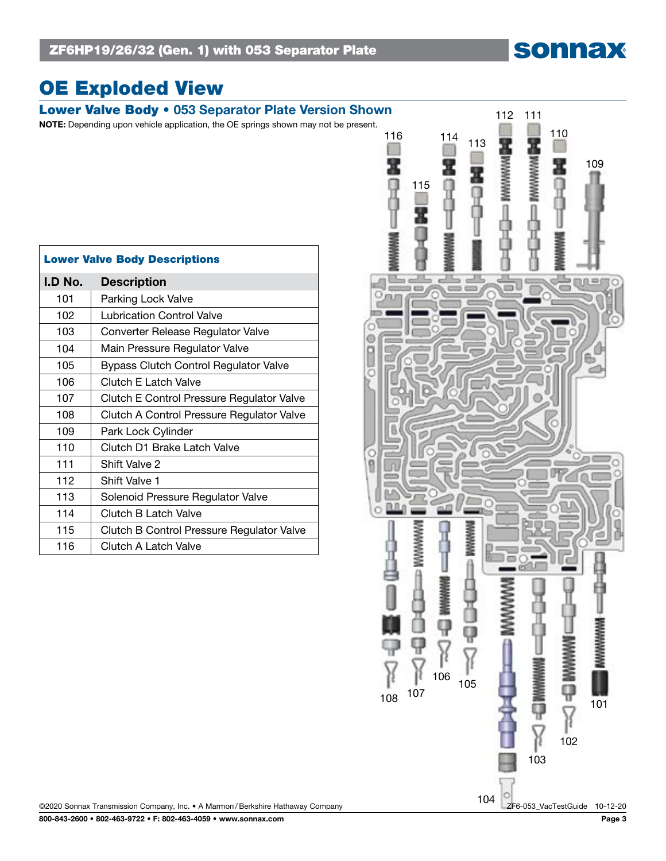# sonnax

# OE Exploded View

| <b>Description</b><br>101<br>Parking Lock Valve<br>102<br>Lubrication Control Valve<br>103<br>Converter Release Regulator Valve<br>104<br>Main Pressure Regulator Valve<br>105<br><b>Bypass Clutch Control Regulator Valve</b><br>106<br><b>Clutch E Latch Valve</b><br>107<br>108<br>109<br>Park Lock Cylinder<br>110<br>Clutch D1 Brake Latch Valve<br>111<br>Shift Valve 2<br>112<br>Shift Valve 1<br>113<br>Solenoid Pressure Regulator Valve<br>114<br>Clutch B Latch Valve<br>115<br>116<br>Clutch A Latch Valve |                                      |                                           |  |
|------------------------------------------------------------------------------------------------------------------------------------------------------------------------------------------------------------------------------------------------------------------------------------------------------------------------------------------------------------------------------------------------------------------------------------------------------------------------------------------------------------------------|--------------------------------------|-------------------------------------------|--|
|                                                                                                                                                                                                                                                                                                                                                                                                                                                                                                                        | <b>Lower Valve Body Descriptions</b> |                                           |  |
|                                                                                                                                                                                                                                                                                                                                                                                                                                                                                                                        | I.D No.                              |                                           |  |
|                                                                                                                                                                                                                                                                                                                                                                                                                                                                                                                        |                                      |                                           |  |
|                                                                                                                                                                                                                                                                                                                                                                                                                                                                                                                        |                                      |                                           |  |
|                                                                                                                                                                                                                                                                                                                                                                                                                                                                                                                        |                                      |                                           |  |
|                                                                                                                                                                                                                                                                                                                                                                                                                                                                                                                        |                                      |                                           |  |
|                                                                                                                                                                                                                                                                                                                                                                                                                                                                                                                        |                                      |                                           |  |
|                                                                                                                                                                                                                                                                                                                                                                                                                                                                                                                        |                                      |                                           |  |
|                                                                                                                                                                                                                                                                                                                                                                                                                                                                                                                        |                                      | Clutch E Control Pressure Regulator Valve |  |
|                                                                                                                                                                                                                                                                                                                                                                                                                                                                                                                        |                                      | Clutch A Control Pressure Regulator Valve |  |
|                                                                                                                                                                                                                                                                                                                                                                                                                                                                                                                        |                                      |                                           |  |
|                                                                                                                                                                                                                                                                                                                                                                                                                                                                                                                        |                                      |                                           |  |
|                                                                                                                                                                                                                                                                                                                                                                                                                                                                                                                        |                                      |                                           |  |
|                                                                                                                                                                                                                                                                                                                                                                                                                                                                                                                        |                                      |                                           |  |
|                                                                                                                                                                                                                                                                                                                                                                                                                                                                                                                        |                                      |                                           |  |
|                                                                                                                                                                                                                                                                                                                                                                                                                                                                                                                        |                                      |                                           |  |
|                                                                                                                                                                                                                                                                                                                                                                                                                                                                                                                        |                                      | Clutch B Control Pressure Regulator Valve |  |
|                                                                                                                                                                                                                                                                                                                                                                                                                                                                                                                        |                                      |                                           |  |